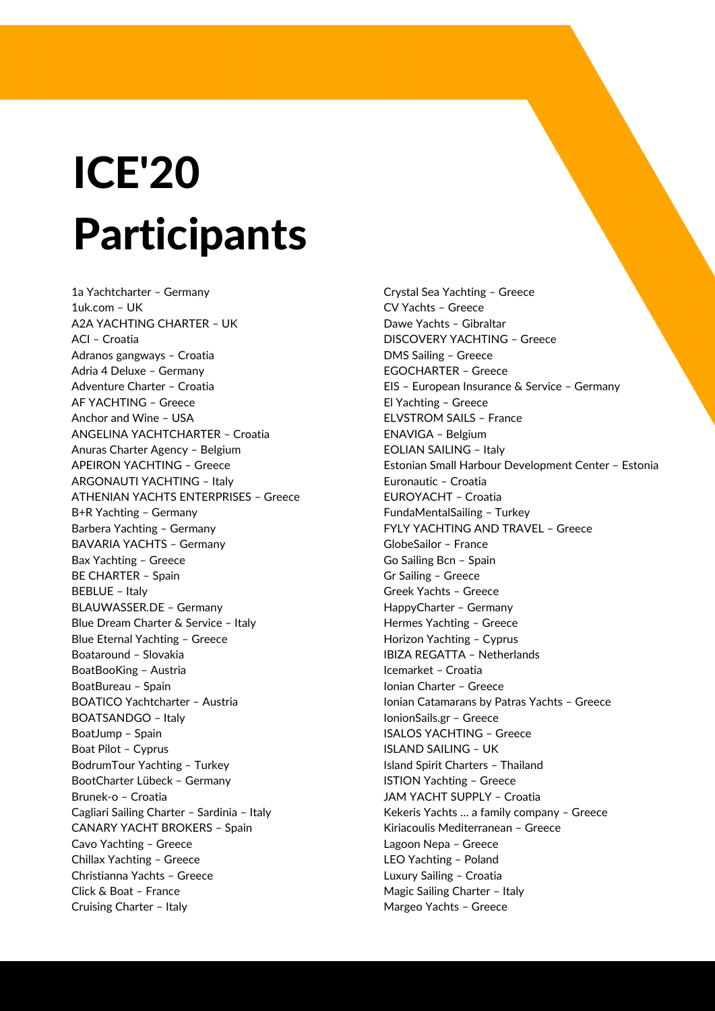1a Yachtcharter – Germany 1uk.com – UK A2A YACHTING CHARTER – UK ACI – Croatia Adranos gangways – Croatia Adria 4 Deluxe – Germany Adventure Charter – Croatia AF YACHTING – Greece Anchor and Wine – USA ANGELINA YACHTCHARTER – Croatia Anuras Charter Agency – Belgium APEIRON YACHTING – Greece ARGONAUTI YACHTING – Italy ATHENIAN YACHTS ENTERPRISES – Greece B+R Yachting – Germany Barbera Yachting – Germany BAVARIA YACHTS – Germany Bax Yachting – Greece BE CHARTER – Spain BEBLUE – Italy BLAUWASSER.DE – Germany Blue Dream Charter & Service – Italy Blue Eternal Yachting – Greece Boataround – Slovakia BoatBooKing – Austria BoatBureau – Spain BOATICO Yachtcharter – Austria BOATSANDGO – Italy BoatJump – Spain Boat Pilot – Cyprus BodrumTour Yachting – Turkey BootCharter Lübeck – Germany Brunek-o – Croatia Cagliari Sailing Charter – Sardinia – Italy CANARY YACHT BROKERS – Spain Cavo Yachting – Greece Chillax Yachting – Greece Christianna Yachts – Greece Click & Boat – France Cruising Charter – Italy

## ICE'20 Participants

Crystal Sea Yachting – Greece CV Yachts – Greece Dawe Yachts – Gibraltar DISCOVERY YACHTING – Greece DMS Sailing – Greece EGOCHARTER – Greece EIS – European Insurance & Service – Germany El Yachting – Greece ELVSTROM SAILS – France ENAVIGA – Belgium EOLIAN SAILING – Italy Estonian Small Harbour Development Center – Estonia Euronautic – Croatia EUROYACHT – Croatia FundaMentalSailing – Turkey FYLY YACHTING AND TRAVEL – Greece GlobeSailor – France Go Sailing Bcn – Spain Gr Sailing – Greece Greek Yachts – Greece HappyCharter – Germany Hermes Yachting – Greece Horizon Yachting – Cyprus IBIZA REGATTA – Netherlands Icemarket – Croatia Ionian Charter – Greece Ionian Catamarans by Patras Yachts – Greece IonionSails.gr – Greece ISALOS YACHTING – Greece ISLAND SAILING – UK Island Spirit Charters – Thailand ISTION Yachting – Greece JAM YACHT SUPPLY – Croatia Kekeris Yachts … a family company – Greece Kiriacoulis Mediterranean – Greece Lagoon Nepa – Greece LEO Yachting – Poland Luxury Sailing – Croatia Magic Sailing Charter – Italy Margeo Yachts – Greece